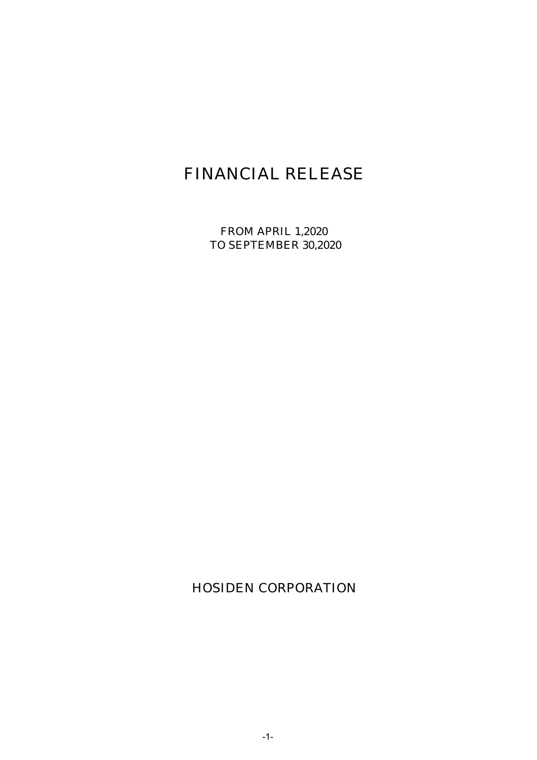# FINANCIAL RELEASE

FROM APRIL 1,2020 TO SEPTEMBER 30,2020

HOSIDEN CORPORATION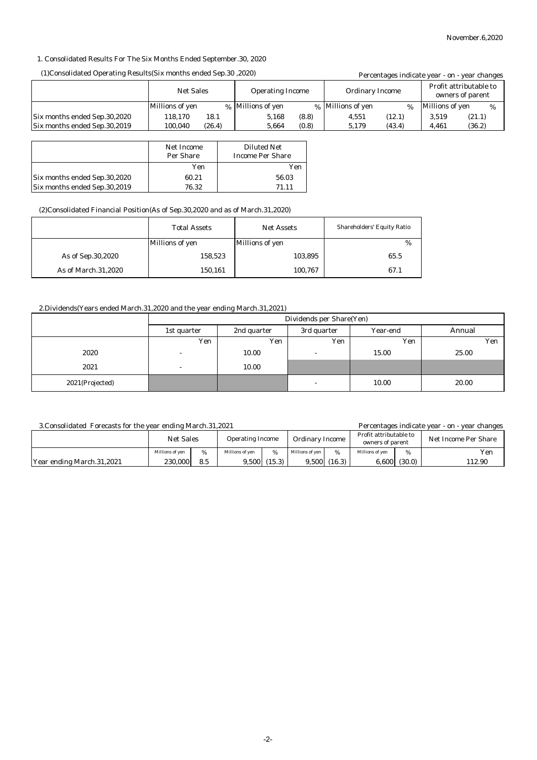#### 1. Consolidated Results For The Six Months Ended September.30, 2020

#### (1)Consolidated Operating Results(Six months ended Sep.30 ,2020)

| (1)Consolidated Operating Results (Six months ended Sep. 30, 2020) |                  |        |                         |       |                        |        |                 | Percentages indicate year - on - year changes |
|--------------------------------------------------------------------|------------------|--------|-------------------------|-------|------------------------|--------|-----------------|-----------------------------------------------|
|                                                                    | <b>Net Sales</b> |        | <b>Operating Income</b> |       | <b>Ordinary Income</b> |        |                 | Profit attributable to<br>owners of parent    |
|                                                                    | Millions of yen  |        | % Millions of yen       |       | % Millions of yen      | $\%$   | Millions of yen | %                                             |
| Six months ended Sep.30,2020                                       | 118.170          | 18.1   | 5.168                   | (8.8) | 4.551                  | (12.1) | 3.519           | (21.1)                                        |
| Six months ended Sep.30,2019                                       | 100.040          | (26.4) | 5.664                   | (0.8) | 5,179                  | (43.4) | 4.461           | (36.2)                                        |

|                              | Net Income<br><b>Per Share</b> | <b>Diluted Net</b><br><b>Income Per Share</b> |
|------------------------------|--------------------------------|-----------------------------------------------|
|                              | Yen                            | Yen                                           |
| Six months ended Sep.30,2020 | 60.21                          | 56.03                                         |
| Six months ended Sep.30,2019 | 76.32                          | 71.11                                         |

#### (2)Consolidated Financial Position(As of Sep.30,2020 and as of March.31,2020)

|                     | <b>Total Assets</b> | <b>Net Assets</b> | <b>Shareholders' Equity Ratio</b> |
|---------------------|---------------------|-------------------|-----------------------------------|
|                     | Millions of yen     | Millions of yen   | %                                 |
| As of Sep.30,2020   | 158,523             | 103,895           | 65.5                              |
| As of March.31,2020 | 150,161             | 100,767           | 67.1                              |

## 2.Dividends(Years ended March.31,2020 and the year ending March.31,2021)

|                 | Dividends per Share(Yen) |             |             |          |        |  |  |
|-----------------|--------------------------|-------------|-------------|----------|--------|--|--|
|                 | 1st quarter              | 2nd quarter | 3rd quarter | Year-end | Annual |  |  |
|                 | Yen                      | Yen         | Yen         | Yen      | Yen    |  |  |
| 2020            | $\overline{\phantom{a}}$ | 10.00       | -           | 15.00    | 25.00  |  |  |
| 2021            | $\overline{a}$           | 10.00       |             |          |        |  |  |
| 2021(Projected) |                          |             | -           | 10.00    | 20.00  |  |  |

#### 3.Consolidated Forecasts for the year ending March.31,2021

Percentages indicate year - on - year changes

|                           | <b>Net Sales</b> |     | <b>Operating Income</b> |        | <b>Ordinary Income</b> |        | Profit attributable to<br>owners of parent |        | Net Income Per Share |  |
|---------------------------|------------------|-----|-------------------------|--------|------------------------|--------|--------------------------------------------|--------|----------------------|--|
|                           | Millions of ven  | %   | Millions of ven         | %      | Millions of ven        | %      | Millions of ven                            | %      | Yen                  |  |
| Year ending March.31,2021 | 230.000          | 8.5 | 3,500                   | (15.3) | 9.500                  | (16.3) | 6,600                                      | (30.0) | 112.90               |  |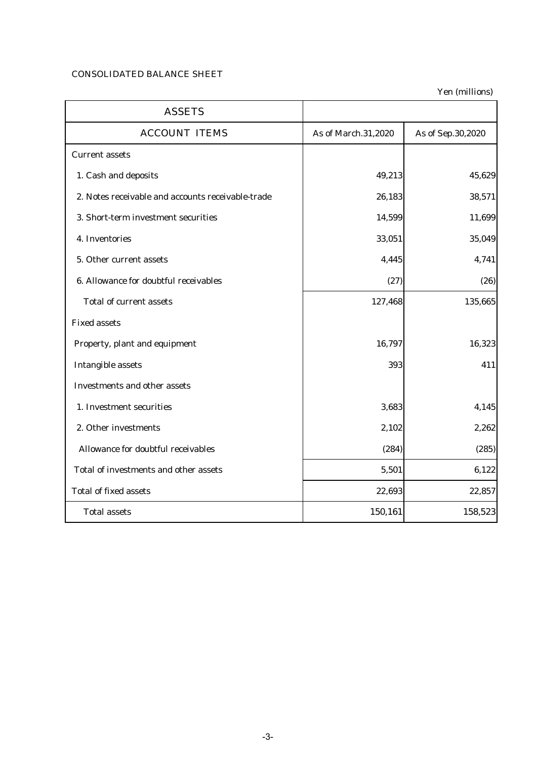# CONSOLIDATED BALANCE SHEET

Yen (millions)

| <b>ASSETS</b>                                     |                     |                   |
|---------------------------------------------------|---------------------|-------------------|
| <b>ACCOUNT ITEMS</b>                              | As of March.31,2020 | As of Sep.30,2020 |
| <b>Current assets</b>                             |                     |                   |
| 1. Cash and deposits                              | 49,213              | 45,629            |
| 2. Notes receivable and accounts receivable-trade | 26,183              | 38,571            |
| 3. Short-term investment securities               | 14,599              | 11,699            |
| 4. Inventories                                    | 33,051              | 35,049            |
| 5. Other current assets                           | 4,445               | 4,741             |
| 6. Allowance for doubtful receivables             | (27)                | (26)              |
| <b>Total of current assets</b>                    | 127,468             | 135,665           |
| <b>Fixed assets</b>                               |                     |                   |
| Property, plant and equipment                     | 16,797              | 16,323            |
| <b>Intangible assets</b>                          | 393                 | 411               |
| <b>Investments and other assets</b>               |                     |                   |
| 1. Investment securities                          | 3,683               | 4,145             |
| 2. Other investments                              | 2,102               | 2,262             |
| Allowance for doubtful receivables                | (284)               | (285)             |
| Total of investments and other assets             | 5,501               | 6,122             |
| <b>Total of fixed assets</b>                      | 22,693              | 22,857            |
| <b>Total assets</b>                               | 150,161             | 158,523           |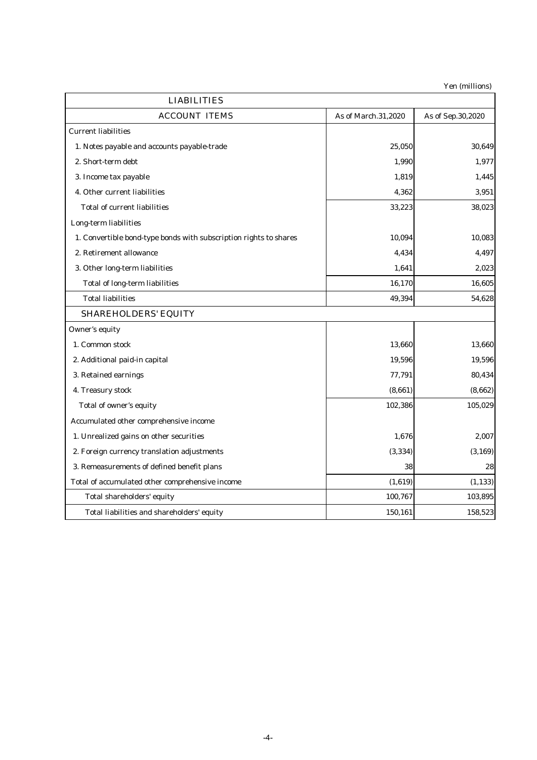Yen (millions)

| <b>LIABILITIES</b>                                                |                     |                   |  |  |
|-------------------------------------------------------------------|---------------------|-------------------|--|--|
| <b>ACCOUNT ITEMS</b>                                              | As of March.31,2020 | As of Sep.30,2020 |  |  |
| <b>Current liabilities</b>                                        |                     |                   |  |  |
| 1. Notes payable and accounts payable-trade                       | 25,050              | 30,649            |  |  |
| 2. Short-term debt                                                | 1,990               | 1,977             |  |  |
| 3. Income tax payable                                             | 1,819               | 1,445             |  |  |
| 4. Other current liabilities                                      | 4,362               | 3,951             |  |  |
| <b>Total of current liabilities</b>                               | 33,223              | 38,023            |  |  |
| Long-term liabilities                                             |                     |                   |  |  |
| 1. Convertible bond-type bonds with subscription rights to shares | 10,094              | 10,083            |  |  |
| 2. Retirement allowance                                           | 4,434               | 4,497             |  |  |
| 3. Other long-term liabilities                                    | 1,641               | 2,023             |  |  |
| <b>Total of long-term liabilities</b>                             | 16,170              | 16,605            |  |  |
| <b>Total liabilities</b>                                          | 49,394              | 54,628            |  |  |
| <b>SHAREHOLDERS' EQUITY</b>                                       |                     |                   |  |  |
| Owner's equity                                                    |                     |                   |  |  |
| 1. Common stock                                                   | 13,660              | 13,660            |  |  |
| 2. Additional paid-in capital                                     | 19,596              | 19,596            |  |  |
| 3. Retained earnings                                              | 77,791              | 80,434            |  |  |
| 4. Treasury stock                                                 | (8,661)             | (8,662)           |  |  |
| Total of owner's equity                                           | 102,386             | 105,029           |  |  |
| Accumulated other comprehensive income                            |                     |                   |  |  |
| 1. Unrealized gains on other securities                           | 1,676               | 2,007             |  |  |
| 2. Foreign currency translation adjustments                       | (3, 334)            | (3, 169)          |  |  |
| 3. Remeasurements of defined benefit plans                        | 38                  | 28                |  |  |
| Total of accumulated other comprehensive income                   | (1, 619)            | (1, 133)          |  |  |
| Total shareholders' equity                                        | 100,767             | 103,895           |  |  |
| Total liabilities and shareholders' equity                        | 150,161             | 158,523           |  |  |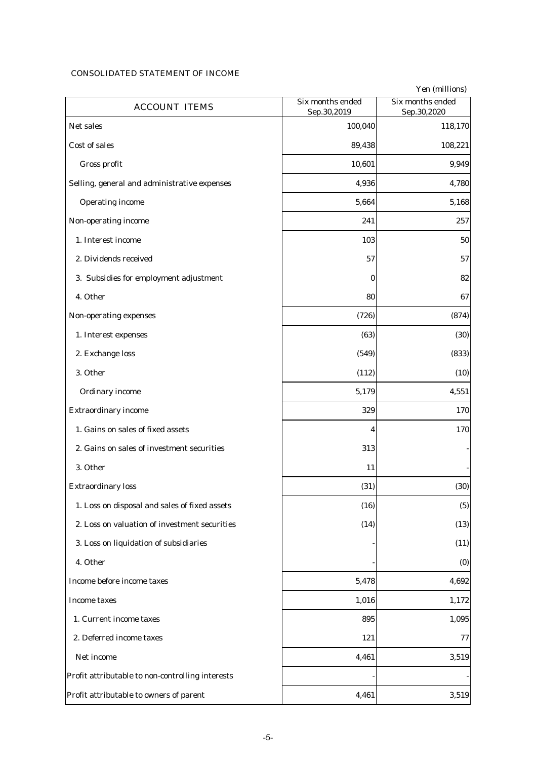## CONSOLIDATED STATEMENT OF INCOME

|                                                  |                                 | Yen (millions)                  |
|--------------------------------------------------|---------------------------------|---------------------------------|
| <b>ACCOUNT ITEMS</b>                             | Six months ended<br>Sep.30,2019 | Six months ended<br>Sep.30,2020 |
| Net sales                                        | 100,040                         | 118,170                         |
| Cost of sales                                    | 89,438                          | 108,221                         |
| Gross profit                                     | 10,601                          | 9,949                           |
| Selling, general and administrative expenses     | 4,936                           | 4,780                           |
| <b>Operating income</b>                          | 5,664                           | 5,168                           |
| Non-operating income                             | 241                             | 257                             |
| 1. Interest income                               | 103                             | 50                              |
| 2. Dividends received                            | 57                              | 57                              |
| 3. Subsidies for employment adjustment           | $\bf{0}$                        | 82                              |
| 4. Other                                         | 80                              | 67                              |
| Non-operating expenses                           | (726)                           | (874)                           |
| 1. Interest expenses                             | (63)                            | (30)                            |
| 2. Exchange loss                                 | (549)                           | (833)                           |
| 3. Other                                         | (112)                           | (10)                            |
| <b>Ordinary income</b>                           | 5,179                           | 4,551                           |
| <b>Extraordinary income</b>                      | 329                             | 170                             |
| 1. Gains on sales of fixed assets                | 4                               | 170                             |
| 2. Gains on sales of investment securities       | 313                             |                                 |
| 3. Other                                         | 11                              |                                 |
| <b>Extraordinary loss</b>                        | (31)                            | (30)                            |
| 1. Loss on disposal and sales of fixed assets    | (16)                            | (5)                             |
| 2. Loss on valuation of investment securities    | (14)                            | (13)                            |
| 3. Loss on liquidation of subsidiaries           |                                 | (11)                            |
| 4. Other                                         |                                 | (0)                             |
| Income before income taxes                       | 5,478                           | 4,692                           |
| <b>Income taxes</b>                              | 1,016                           | 1,172                           |
| 1. Current income taxes                          | 895                             | 1,095                           |
| 2. Deferred income taxes                         | 121                             | 77                              |
| Net income                                       | 4,461                           | 3,519                           |
| Profit attributable to non-controlling interests |                                 |                                 |
| Profit attributable to owners of parent          | 4,461                           | 3,519                           |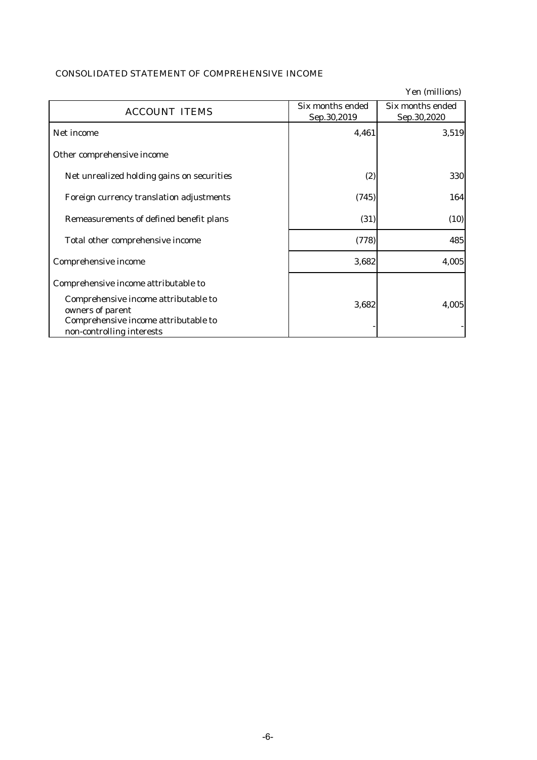| <b>CONSOLIDATED STATEMENT OF COMPREHENSIVE INCOME</b> |
|-------------------------------------------------------|
|-------------------------------------------------------|

|                                                                                                                               |                                 | Yen (millions)                  |
|-------------------------------------------------------------------------------------------------------------------------------|---------------------------------|---------------------------------|
| <b>ACCOUNT ITEMS</b>                                                                                                          | Six months ended<br>Sep.30,2019 | Six months ended<br>Sep.30,2020 |
| Net income                                                                                                                    | 4,461                           | 3,519                           |
| Other comprehensive income                                                                                                    |                                 |                                 |
| Net unrealized holding gains on securities                                                                                    | (2)                             | 330                             |
| Foreign currency translation adjustments                                                                                      | (745)                           | 164                             |
| Remeasurements of defined benefit plans                                                                                       | (31)                            | (10)                            |
| Total other comprehensive income                                                                                              | (778)                           | 485                             |
| Comprehensive income                                                                                                          | 3,682                           | 4,005                           |
| Comprehensive income attributable to                                                                                          |                                 |                                 |
| Comprehensive income attributable to<br>owners of parent<br>Comprehensive income attributable to<br>non-controlling interests | 3,682                           | 4,005                           |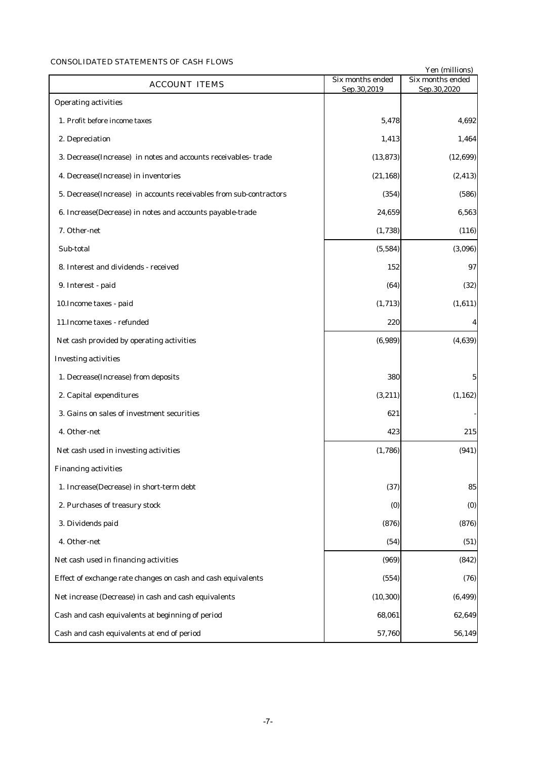## CONSOLIDATED STATEMENTS OF CASH FLOWS

|                                                                    |                                 | Yen (millions)                  |
|--------------------------------------------------------------------|---------------------------------|---------------------------------|
| <b>ACCOUNT ITEMS</b>                                               | Six months ended<br>Sep.30,2019 | Six months ended<br>Sep.30,2020 |
| <b>Operating activities</b>                                        |                                 |                                 |
| 1. Profit before income taxes                                      | 5,478                           | 4,692                           |
| 2. Depreciation                                                    | 1,413                           | 1,464                           |
| 3. Decrease(Increase) in notes and accounts receivables-trade      | (13, 873)                       | (12, 699)                       |
| 4. Decrease(Increase) in inventories                               | (21, 168)                       | (2, 413)                        |
| 5. Decrease(Increase) in accounts receivables from sub-contractors | (354)                           | (586)                           |
| 6. Increase(Decrease) in notes and accounts payable-trade          | 24,659                          | 6,563                           |
| 7. Other-net                                                       | (1,738)                         | (116)                           |
| Sub-total                                                          | (5, 584)                        | (3,096)                         |
| 8. Interest and dividends - received                               | 152                             | 97                              |
| 9. Interest - paid                                                 | (64)                            | (32)                            |
| 10. Income taxes - paid                                            | (1,713)                         | (1,611)                         |
| 11. Income taxes - refunded                                        | 220                             | $\boldsymbol{4}$                |
| Net cash provided by operating activities                          | (6,989)                         | (4,639)                         |
| <b>Investing activities</b>                                        |                                 |                                 |
| 1. Decrease(Increase) from deposits                                | 380                             | $\mathbf 5$                     |
| 2. Capital expenditures                                            | (3, 211)                        | (1, 162)                        |
| 3. Gains on sales of investment securities                         | 621                             |                                 |
| 4. Other-net                                                       | 423                             | 215                             |
| Net cash used in investing activities                              | (1,786)                         | (941)                           |
| <b>Financing activities</b>                                        |                                 |                                 |
| 1. Increase(Decrease) in short-term debt                           | (37)                            | 85                              |
| 2. Purchases of treasury stock                                     | (0)                             | (0)                             |
| 3. Dividends paid                                                  | (876)                           | (876)                           |
| 4. Other-net                                                       | (54)                            | (51)                            |
| Net cash used in financing activities                              | (969)                           | (842)                           |
| Effect of exchange rate changes on cash and cash equivalents       | (554)                           | (76)                            |
| Net increase (Decrease) in cash and cash equivalents               | (10, 300)                       | (6, 499)                        |
| Cash and cash equivalents at beginning of period                   | 68,061                          | 62,649                          |
| Cash and cash equivalents at end of period                         | 57,760                          | 56,149                          |